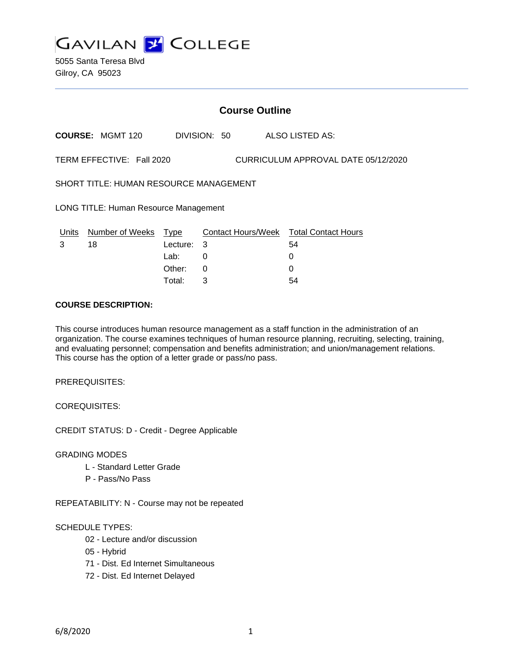

5055 Santa Teresa Blvd Gilroy, CA 95023

# **Course Outline**

**COURSE:** MGMT 120 DIVISION: 50 ALSO LISTED AS:

TERM EFFECTIVE: Fall 2020 CURRICULUM APPROVAL DATE 05/12/2020

SHORT TITLE: HUMAN RESOURCE MANAGEMENT

LONG TITLE: Human Resource Management

| Units | Number of Weeks Type |            | Contact Hours/Week Total Contact Hours |    |
|-------|----------------------|------------|----------------------------------------|----|
|       | 18                   | Lecture: 3 |                                        | 54 |
|       |                      | Lab:       |                                        |    |
|       |                      | Other:     |                                        |    |
|       |                      | Total:     |                                        | 54 |

## **COURSE DESCRIPTION:**

This course introduces human resource management as a staff function in the administration of an organization. The course examines techniques of human resource planning, recruiting, selecting, training, and evaluating personnel; compensation and benefits administration; and union/management relations. This course has the option of a letter grade or pass/no pass.

PREREQUISITES:

COREQUISITES:

CREDIT STATUS: D - Credit - Degree Applicable

GRADING MODES

- L Standard Letter Grade
- P Pass/No Pass

REPEATABILITY: N - Course may not be repeated

#### SCHEDULE TYPES:

- 02 Lecture and/or discussion
- 05 Hybrid
- 71 Dist. Ed Internet Simultaneous
- 72 Dist. Ed Internet Delayed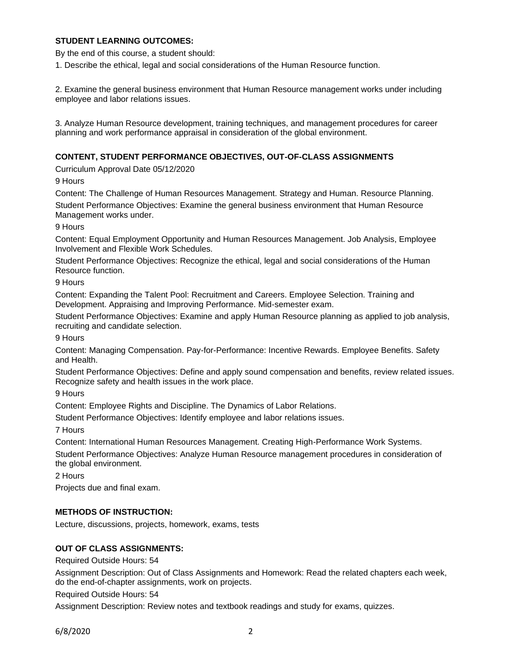## **STUDENT LEARNING OUTCOMES:**

By the end of this course, a student should:

1. Describe the ethical, legal and social considerations of the Human Resource function.

2. Examine the general business environment that Human Resource management works under including employee and labor relations issues.

3. Analyze Human Resource development, training techniques, and management procedures for career planning and work performance appraisal in consideration of the global environment.

## **CONTENT, STUDENT PERFORMANCE OBJECTIVES, OUT-OF-CLASS ASSIGNMENTS**

Curriculum Approval Date 05/12/2020

9 Hours

Content: The Challenge of Human Resources Management. Strategy and Human. Resource Planning.

Student Performance Objectives: Examine the general business environment that Human Resource Management works under.

9 Hours

Content: Equal Employment Opportunity and Human Resources Management. Job Analysis, Employee Involvement and Flexible Work Schedules.

Student Performance Objectives: Recognize the ethical, legal and social considerations of the Human Resource function.

9 Hours

Content: Expanding the Talent Pool: Recruitment and Careers. Employee Selection. Training and Development. Appraising and Improving Performance. Mid-semester exam.

Student Performance Objectives: Examine and apply Human Resource planning as applied to job analysis, recruiting and candidate selection.

9 Hours

Content: Managing Compensation. Pay-for-Performance: Incentive Rewards. Employee Benefits. Safety and Health.

Student Performance Objectives: Define and apply sound compensation and benefits, review related issues. Recognize safety and health issues in the work place.

9 Hours

Content: Employee Rights and Discipline. The Dynamics of Labor Relations.

Student Performance Objectives: Identify employee and labor relations issues.

7 Hours

Content: International Human Resources Management. Creating High-Performance Work Systems.

Student Performance Objectives: Analyze Human Resource management procedures in consideration of the global environment.

2 Hours

Projects due and final exam.

#### **METHODS OF INSTRUCTION:**

Lecture, discussions, projects, homework, exams, tests

#### **OUT OF CLASS ASSIGNMENTS:**

Required Outside Hours: 54

Assignment Description: Out of Class Assignments and Homework: Read the related chapters each week, do the end-of-chapter assignments, work on projects.

Required Outside Hours: 54

Assignment Description: Review notes and textbook readings and study for exams, quizzes.